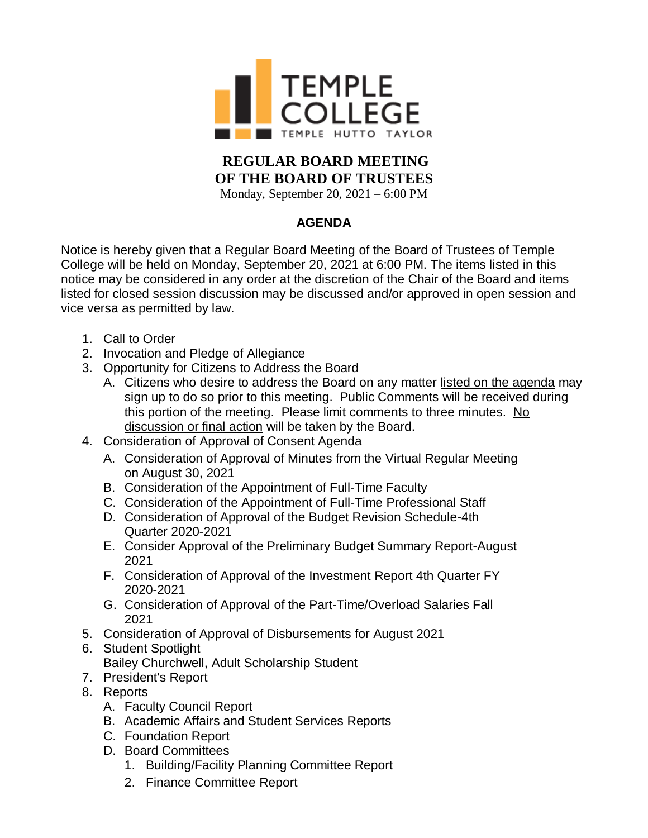

## **REGULAR BOARD MEETING OF THE BOARD OF TRUSTEES**

Monday, September 20, 2021 – 6:00 PM

## **AGENDA**

Notice is hereby given that a Regular Board Meeting of the Board of Trustees of Temple College will be held on Monday, September 20, 2021 at 6:00 PM. The items listed in this notice may be considered in any order at the discretion of the Chair of the Board and items listed for closed session discussion may be discussed and/or approved in open session and vice versa as permitted by law.

- 1. Call to Order
- 2. Invocation and Pledge of Allegiance
- 3. Opportunity for Citizens to Address the Board
	- A. Citizens who desire to address the Board on any matter listed on the agenda may sign up to do so prior to this meeting. Public Comments will be received during this portion of the meeting. Please limit comments to three minutes. No discussion or final action will be taken by the Board.
- 4. Consideration of Approval of Consent Agenda
	- A. Consideration of Approval of Minutes from the Virtual Regular Meeting on August 30, 2021
	- B. Consideration of the Appointment of Full-Time Faculty
	- C. Consideration of the Appointment of Full-Time Professional Staff
	- D. Consideration of Approval of the Budget Revision Schedule-4th Quarter 2020-2021
	- E. Consider Approval of the Preliminary Budget Summary Report-August 2021
	- F. Consideration of Approval of the Investment Report 4th Quarter FY 2020-2021
	- G. Consideration of Approval of the Part-Time/Overload Salaries Fall 2021
- 5. Consideration of Approval of Disbursements for August 2021
- 6. Student Spotlight
	- Bailey Churchwell, Adult Scholarship Student
- 7. President's Report
- 8. Reports
	- A. Faculty Council Report
	- B. Academic Affairs and Student Services Reports
	- C. Foundation Report
	- D. Board Committees
		- 1. Building/Facility Planning Committee Report
		- 2. Finance Committee Report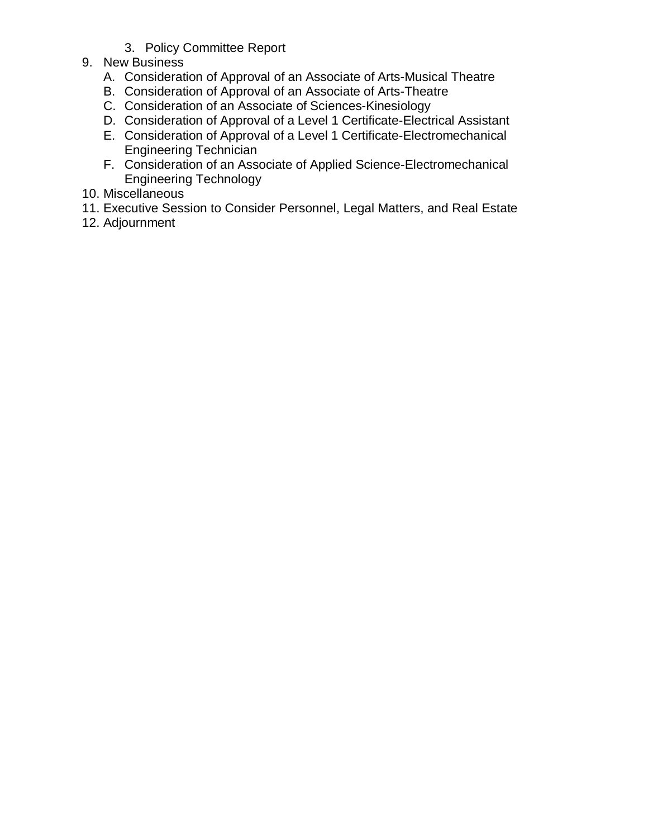- 3. Policy Committee Report
- 9. New Business
	- A. Consideration of Approval of an Associate of Arts-Musical Theatre
	- B. Consideration of Approval of an Associate of Arts-Theatre
	- C. Consideration of an Associate of Sciences-Kinesiology
	- D. Consideration of Approval of a Level 1 Certificate-Electrical Assistant
	- E. Consideration of Approval of a Level 1 Certificate-Electromechanical Engineering Technician
	- F. Consideration of an Associate of Applied Science-Electromechanical Engineering Technology
- 10. Miscellaneous
- 11. Executive Session to Consider Personnel, Legal Matters, and Real Estate
- 12. Adjournment